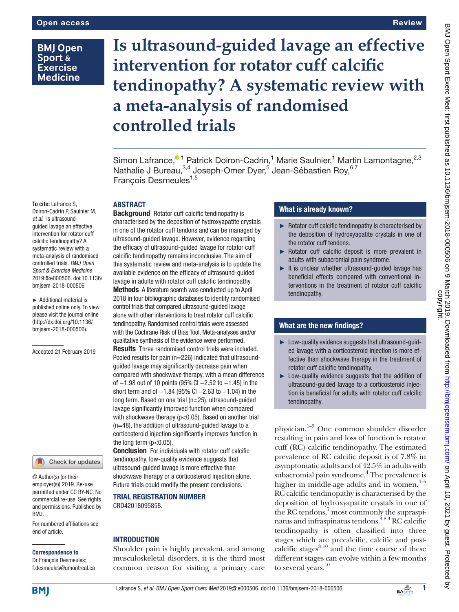# **BMJ Open** Sport & **Exercise Medicine**

# **Is ultrasound-guided lavage an effective intervention for rotator cuff calcific tendinopathy? A systematic review with a meta-analysis of randomised controlled trials**

Simon Lafrance,<sup>® 1</sup> Patrick Doiron-Cadrin,<sup>1</sup> Marie Saulnier,<sup>1</sup> Martin Lamontagne,<sup>2,3</sup> Nathalie J Bureau,<sup>3,4</sup> Joseph-Omer Dyer,<sup>5</sup> Jean-Sébastien Roy,<sup>6,7</sup> Francois Desmeules<sup>1,5</sup>

## **ABSTRACT**

To cite: Lafrance S, Doiron-Cadrin P, Saulnier M, *et al*. Is ultrasoundguided lavage an effective intervention for rotator cuff calcific tendinopathy? A systematic review with a meta-analysis of randomised controlled trials. *BMJ Open Sport & Exercise Medicine* 2019;5:e000506. doi:10.1136/ bmjsem-2018-000506

► Additional material is published online only. To view please visit the journal online ([http://dx.doi.org/10.1136/](http://dx.doi.org/10.1136/bmjsem-2018-000506) [bmjsem-2018-000506\)](http://dx.doi.org/10.1136/bmjsem-2018-000506).

Accepted 21 February 2019



© Author(s) (or their employer(s)) 2019. Re-use permitted under CC BY-NC. No commercial re-use. See rights and permissions. Published by BMJ.

For numbered affiliations see end of article.

#### Correspondence to

Dr François Desmeules; f.desmeules@umontreal.ca

Background Rotator cuff calcific tendinopathy is characterised by the deposition of hydroxyapatite crystals in one of the rotator cuff tendons and can be managed by ultrasound-guided lavage. However, evidence regarding the efficacy of ultrasound-guided lavage for rotator cuff calcific tendinopathy remains inconclusive. The aim of this systematic review and meta-analysis is to update the available evidence on the efficacy of ultrasound-guided lavage in adults with rotator cuff calcific tendinopathy.

Methods A literature search was conducted up to April 2018 in four bibliographic databases to identify randomised control trials that compared ultrasound-guided lavage alone with other interventions to treat rotator cuff calcific tendinopathy. Randomised control trials were assessed with the Cochrane Risk of Bias Tool. Meta-analyses and/or qualitative synthesis of the evidence were performed. Results Three randomised control trials were included. Pooled results for pain (n=226) indicated that ultrasoundguided lavage may significantly decrease pain when compared with shockwave therapy, with a mean difference of −1.98 out of 10 points (95%CI −2.52 to −1.45) in the short term and of -1.84 (95% CI -2.63 to -1.04) in the long term. Based on one trial (n=25), ultrasound-guided lavage significantly improved function when compared with shockwave therapy (p<0.05). Based on another trial (n=48), the addition of ultrasound-guided lavage to a corticosteroid injection significantly improves function in the long term  $(p<0.05)$ .

**Conclusion** For individuals with rotator cuff calcific tendinopathy, low-quality evidence suggests that ultrasound-guided lavage is more effective than shockwave therapy or a corticosteroid injection alone. Future trials could modify the present conclusions.

## Trial registration number [CRD42018095858.](CRD42018095858)

## **INTRODUCTION**

Shoulder pain is highly prevalent, and among musculoskeletal disorders, it is the third most common reason for visiting a primary care

## What is already known?

- ► Rotator cuff calcific tendinopathy is characterised by the deposition of hydroxyapatite crystals in one of the rotator cuff tendons.
- ► Rotator cuff calcific deposit is more prevalent in adults with subacromial pain syndrome.
- ► It is unclear whether ultrasound-guided lavage has beneficial effects compared with conventional interventions in the treatment of rotator cuff calcific tendinopathy.

## What are the new findings?

- ► Low-quality evidence suggests that ultrasound-guided lavage with a corticosteroid injection is more effective than shockwave therapy in the treatment of rotator cuff calcific tendinopathy.
- ► Low-quality evidence suggests that the addition of ultrasound-guided lavage to a corticosteroid injection is beneficial for adults with rotator cuff calcific tendinopathy.

physician[.1–3](#page-7-0) One common shoulder disorder resulting in pain and loss of function is rotator cuff (RC) calcific tendinopathy. The estimated prevalence of RC calcific deposit is of 7.8% in asymptomatic adults and of 42.5% in adults with subacromial pain syndrome.<sup>[4](#page-7-1)</sup> The prevalence is higher in middle-age adults and in women. $4-6$ RC calcific tendinopathy is characterised by the deposition of hydroxyapatite crystals in one of the RC tendons,<sup>7</sup> most commonly the supraspinatus and infraspinatus tendons.<sup>489</sup> RC calcific tendinopathy is often classified into three stages which are precalcific, calcific and postcalcific stages $810$  and the time course of these different stages can evolve within a few months to several years. $\frac{10}{10}$ 

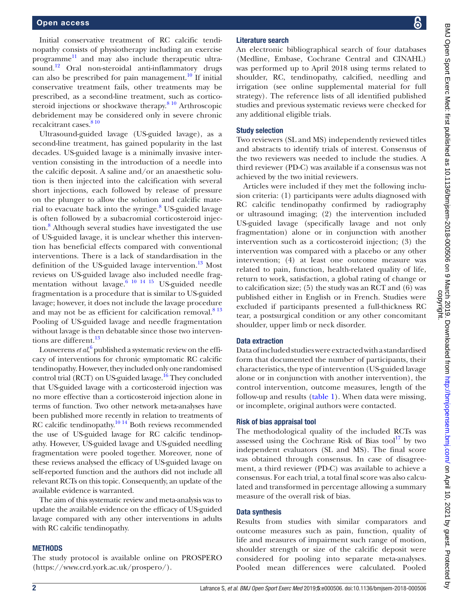Initial conservative treatment of RC calcific tendinopathy consists of physiotherapy including an exercise programme<sup>11</sup> and may also include therapeutic ultrasound[.12](#page-7-6) Oral non-steroidal anti-inflammatory drugs can also be prescribed for pain management.<sup>10</sup> If initial conservative treatment fails, other treatments may be prescribed, as a second-line treatment, such as corticosteroid injections or shockwave therapy. $810$  Arthroscopic debridement may be considered only in severe chronic recalcitrant cases.<sup>[8 10](#page-7-3)</sup>

Ultrasound-guided lavage (US-guided lavage), as a second-line treatment, has gained popularity in the last decades. US-guided lavage is a minimally invasive intervention consisting in the introduction of a needle into the calcific deposit. A saline and/or an anaesthetic solution is then injected into the calcification with several short injections, each followed by release of pressure on the plunger to allow the solution and calcific mate-rial to evacuate back into the syringe.<sup>[8](#page-7-3)</sup> US-guided lavage is often followed by a subacromial corticosteroid injection.<sup>8</sup> Although several studies have investigated the use of US-guided lavage, it is unclear whether this intervention has beneficial effects compared with conventional interventions. There is a lack of standardisation in the definition of the US-guided lavage intervention. $^{13}$  Most reviews on US-guided lavage also included needle fragmentation without lavage.<sup>6</sup> <sup>10</sup> <sup>14</sup> <sup>15</sup> US-guided needle fragmentation is a procedure that is similar to US-guided lavage; however, it does not include the lavage procedure and may not be as efficient for calcification removal. $813$ Pooling of US-guided lavage and needle fragmentation without lavage is then debatable since those two interven-tions are different.<sup>[13](#page-7-7)</sup>

Louwerens *et al*,<sup>[6](#page-7-8)</sup> published a systematic review on the efficacy of interventions for chronic symptomatic RC calcific tendinopathy. However, they included only one randomised control trial (RCT) on US-guided lavage.<sup>[16](#page-7-9)</sup> They concluded that US-guided lavage with a corticosteroid injection was no more effective than a corticosteroid injection alone in terms of function. Two other network meta-analyses have been published more recently in relation to treatments of RC calcific tendinopathy.<sup>10 14</sup> Both reviews recommended the use of US-guided lavage for RC calcific tendinopathy. However, US-guided lavage and US-guided needling fragmentation were pooled together. Moreover, none of these reviews analysed the efficacy of US-guided lavage on self-reported function and the authors did not include all relevant RCTs on this topic. Consequently, an update of the available evidence is warranted.

The aim of this systematic review and meta-analysis was to update the available evidence on the efficacy of US-guided lavage compared with any other interventions in adults with RC calcific tendinopathy.

#### **METHODS**

The study protocol is available online on PROSPERO [\(https://www.crd.york.ac.uk/prospero/](https://www.crd.york.ac.uk/prospero/)).

#### Literature search

An electronic bibliographical search of four databases (Medline, Embase, Cochrane Central and CINAHL) was performed up to April 2018 using terms related to shoulder, RC, tendinopathy, calcified, needling and irrigation (see online [supplemental material](https://dx.doi.org/10.1136/bmjsem-2018-000506) for full strategy). The reference lists of all identified published studies and previous systematic reviews were checked for any additional eligible trials.

#### Study selection

Two reviewers (SL and MS) independently reviewed titles and abstracts to identify trials of interest. Consensus of the two reviewers was needed to include the studies. A third reviewer (PD-C) was available if a consensus was not achieved by the two initial reviewers.

Articles were included if they met the following inclusion criteria: (1) participants were adults diagnosed with RC calcific tendinopathy confirmed by radiography or ultrasound imaging; (2) the intervention included US-guided lavage (specifically lavage and not only fragmentation) alone or in conjunction with another intervention such as a corticosteroid injection; (3) the intervention was compared with a placebo or any other intervention; (4) at least one outcome measure was related to pain, function, health-related quality of life, return to work, satisfaction, a global rating of change or to calcification size; (5) the study was an RCT and (6) was published either in English or in French. Studies were excluded if participants presented a full-thickness RC tear, a postsurgical condition or any other concomitant shoulder, upper limb or neck disorder.

#### Data extraction

Data of included studies were extracted with a standardised form that documented the number of participants, their characteristics, the type of intervention (US-guided lavage alone or in conjunction with another intervention), the control intervention, outcome measures, length of the follow-up and results ([table](#page-2-0) 1). When data were missing, or incomplete, original authors were contacted.

#### Risk of bias appraisal tool

The methodological quality of the included RCTs was assessed using the Cochrane Risk of Bias tool $\frac{17}{17}$  by two independent evaluators (SL and MS). The final score was obtained through consensus. In case of disagreement, a third reviewer (PD-C) was available to achieve a consensus. For each trial, a total final score was also calculated and transformed in percentage allowing a summary measure of the overall risk of bias.

## Data synthesis

Results from studies with similar comparators and outcome measures such as pain, function, quality of life and measures of impairment such range of motion, shoulder strength or size of the calcific deposit were considered for pooling into separate meta-analyses. Pooled mean differences were calculated. Pooled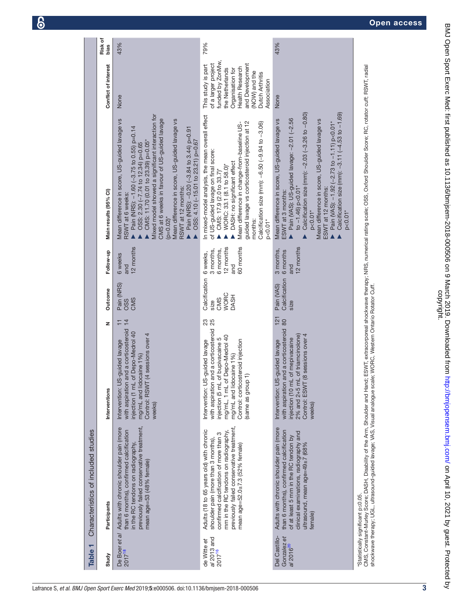<span id="page-2-0"></span>

| ┯<br><b>Table</b>                                     | Characteristics of included studies                                                                                                                                                                                                              |                                                                                                                                                                                                                                                  |                     |                                                            |                                                                     |                                                                                                                                                                                                                                                                                                                                                                                                                                                                       |                                                                                                                                                                                               |                 |
|-------------------------------------------------------|--------------------------------------------------------------------------------------------------------------------------------------------------------------------------------------------------------------------------------------------------|--------------------------------------------------------------------------------------------------------------------------------------------------------------------------------------------------------------------------------------------------|---------------------|------------------------------------------------------------|---------------------------------------------------------------------|-----------------------------------------------------------------------------------------------------------------------------------------------------------------------------------------------------------------------------------------------------------------------------------------------------------------------------------------------------------------------------------------------------------------------------------------------------------------------|-----------------------------------------------------------------------------------------------------------------------------------------------------------------------------------------------|-----------------|
| Study                                                 | Participants                                                                                                                                                                                                                                     | Interventions                                                                                                                                                                                                                                    | z                   | Outcome                                                    | Follow-up                                                           | Main results (95% CI)                                                                                                                                                                                                                                                                                                                                                                                                                                                 | Conflict of interest                                                                                                                                                                          | Risk of<br>bias |
| De Boer et al<br>$2017^{18}$                          | previously failed conservative treatment,<br>Adults with chronic shoulder pain (more<br>than 6 months), confirmed calcification<br>in the RC tendons on radiography,<br>mean age=53 (48% female)                                                 | and a corticosteroid<br>of Depo-Medrol 40<br>(4 sessions over 4<br>Intervention: US-guided lavage<br>mg/mL and lidocaine 1%)<br>Control: RSWT<br>injection (1 mL<br>with aspiration<br>weeks)                                                    | $\overline{4}$<br>Ξ | Pain (NRS)<br>CMS<br><b>OSS</b>                            | 12 months<br>6 weeks<br>and                                         | Mixed model showed a significant interaction for<br>CMS at 6 weeks in favour of US-guided lavage<br>Mean difference in score, US-guided lavage vs<br>Mean difference in score, US-guided lavage vs<br>Pain (NRS): -1.60 (-3.75 to 0.55) p=0.14<br>Pain (NRS): -0.20 (-3.84 to 3.44) p=0.91<br>OSS: 4.10 (-15.01 to 23.21) p=0.67<br>CMS: 11.70 (0.01 to 23.39) p=0.05*<br>OSS: 2.30 (-7.74 to 12.34) p=0.65<br>RSWT at 12 months:<br>RSWT at 6 weeks:<br>$(p=0.02)^*$ | None                                                                                                                                                                                          | 43%             |
| al 2013 and<br>de Witte et<br>$2017^{16}$             | previously failed conservative treatment,<br>Adults (18 to 65 years old) with chronic<br>mm in the RC tendons on radiography,<br>confirmed calcification of more than 3<br>shoulder pain (more than 3 months),<br>mean age=52.0±7.3 (52% female) | with aspiration and a corticosteroid<br>mg/mL, 1 mL of Depo-Medrol 40<br>injection (5 mL of bupivacaine 5<br>Control: corticosteroid injection<br>Intervention: US-guided lavage<br>mg/mL and lidocaine 1%)<br>$\widehat{\tau}$<br>same as group | <b>23</b><br>25     | Calcification<br><b>WORC</b><br><b>DASH</b><br>CMS<br>size | 60 months<br>12 months<br>3 months,<br>6 months,<br>6 weeks,<br>and | In mixed-model analysis, the mean overall effect<br>guided lavage vs corticosteroid injection at 12<br>Calcification size (mm): -6.50 (-9.94 to -3.06)<br>Mean difference in change-from-baseline US-<br>of US-guided lavage on final score:<br>DASH: no significant effect<br>WORC: 33.1 (8.1 to 58.0)*<br>CMS: 17.9 (2.0 to 33.7)*<br>$p<0.01*$<br>months:                                                                                                          | funded by ZonMw,<br>and Development<br>of a larger project<br>This study is part<br>Health Research<br>the Netherlands<br>Organisation for<br>(NOW) and the<br>Dutch Arthritis<br>Association | 79%             |
| Del Castillo-<br>Gonzalez et<br>al 2016 <sup>20</sup> | Adults with chronic shoulder pain (more<br>than 6 months), confirmed calcification<br>clinical examinations, radiography and<br>of at least 5 mm in the RC tendon by<br>ultrasound, mean age=49±7 (68%<br>female)                                | with aspiration and a corticosteroid<br>2% and 2+5 mL of triamcinolone)<br>(8 sessions over 4<br>njection (10 mL of mepivacaine<br>Intervention: US-guided lavage<br>Control: ESWT<br>weeks)                                                     | 121<br>80           | Calcification<br>Pain (VAS)<br>size                        | 12 months<br>3 months,<br>6 months<br>and                           | Calcification size (mm): -2.03 (-3.26 to -0.80)<br>Calcification size (mm): -3.11 (-4.53 to -1.69)<br>Pain (VAS): US-guided lavage: -2.01 (-2.56<br>Mean difference in score, US-guided lavage vs<br>Mean difference in score, US-guided lavage vs<br>Pain (VAS): -1.92 (-2.73 to -1.11) p<0.01*<br>to $-1.46$ ) p<0.01*<br>ESWT at 12 months:<br>ESWT at 3 months:<br>$p < 0.01*$<br>$p < 0.01*$                                                                     | None                                                                                                                                                                                          | 43%             |
|                                                       | shockwave therapy; UGL, ultrasound-guided lavage; VAS, Visual analogue scale; WORC, Western Ontario Rotator Cuff.<br>"Statistically significant ps0.05.                                                                                          |                                                                                                                                                                                                                                                  |                     |                                                            |                                                                     | CMS, Constant-Murley Score; DASH, Disability of the Arm, Shoulder and Hand; ESWT, extracorporeal shockwave therapy; NRS, numerical rating scale; OSS, Oxford Shoulder Score; RC, rotator cuff; RSWT, radial                                                                                                                                                                                                                                                           |                                                                                                                                                                                               |                 |

BMJ Open Sport Exerc Med: first published as 10.1136/bmjsem-2018-000506 on 9 March 2019. Downloaded from http://bmjopensem.bmj.com/ on April 10, 2021 by guest. Protected by<br>copyright. BMJ Open Sport Exerc Med: first published as 10.1136/bmjsem-2018-000506 on 9 March 2019. Downloaded from Amthp://bmjopensem.bmj.com/ on April 10, 2021 by guest. Protected by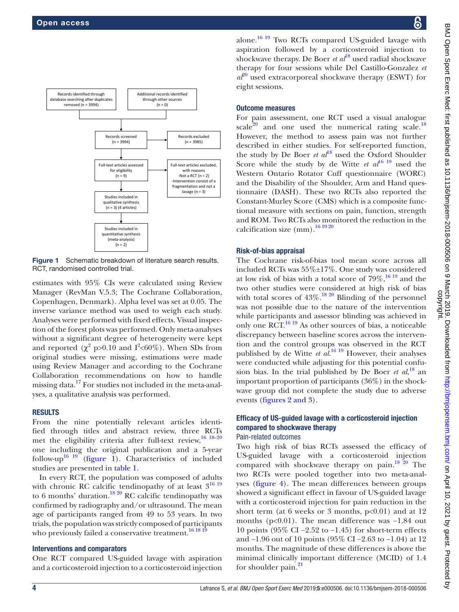

<span id="page-3-0"></span>Figure 1 Schematic breakdown of literature search results. RCT, randomised controlled trial.

estimates with 95% CIs were calculated using Review Manager (RevMan V.5.3; The Cochrane Collaboration, Copenhagen, Denmark). Alpha level was set at 0.05. The inverse variance method was used to weigh each study. Analyses were performed with fixed effects. Visual inspection of the forest plots was performed. Only meta-analyses without a significant degree of heterogeneity were kept and reported  $(\chi^2 p > 0.10)$  and  $I^2 < 60\%$ ). When SDs from original studies were missing, estimations were made using Review Manager and according to the Cochrane Collaboration recommendations on how to handle missing data.<sup>[17](#page-7-10)</sup> For studies not included in the meta-analyses, a qualitative analysis was performed.

## **RESULTS**

From the nine potentially relevant articles identified through titles and abstract review, three RCTs met the eligibility criteria after full-text review,<sup>16 18-20</sup> one including the original publication and a 5-year follow-up<sup>16</sup> <sup>19</sup> ([figure](#page-3-0) 1). Characteristics of included studies are presented in [table](#page-2-0) 1.

In every RCT, the population was composed of adults with chronic RC calcific tendinopathy of at least  $3^{16}$  19 to 6 months' duration.<sup>18 20</sup> RC calcific tendinopathy was confirmed by radiography and/or ultrasound. The mean age of participants ranged from 49 to 53 years. In two trials, the population was strictly composed of participants who previously failed a conservative treatment.<sup>[16 18 19](#page-7-9)</sup>

#### Interventions and comparators

One RCT compared US-guided lavage with aspiration and a corticosteroid injection to a corticosteroid injection alone.<sup>[16 19](#page-7-9)</sup> Two RCTs compared US-guided lavage with aspiration followed by a corticosteroid injection to shockwave therapy. De Boer *et al*[18](#page-7-11) used radial shockwave therapy for four sessions while Del Castillo-Gonzalez *et*   $a\ell^{0}$  used extracorporeal shockwave therapy (ESWT) for eight sessions.

#### Outcome measures

For pain assessment, one RCT used a visual analogue scale<sup>20</sup> and one used the numerical rating scale.<sup>18</sup> However, the method to assess pain was not further described in either studies. For self-reported function, the study by De Boer *et al*<sup>[18](#page-7-11)</sup> used the Oxford Shoulder Score while the study by de Witte  $et \t a l^{16}$  used the Western Ontario Rotator Cuff questionnaire (WORC) and the Disability of the Shoulder, Arm and Hand questionnaire (DASH). These two RCTs also reported the Constant-Murley Score (CMS) which is a composite functional measure with sections on pain, function, strength and ROM. Two RCTs also monitored the reduction in the calcification size  $\text{(mm)}$ .<sup>[16 19 20](#page-7-9)</sup>

## Risk-of-bias appraisal

The Cochrane risk-of-bias tool mean score across all included RCTs was 55%±17%. One study was considered at low risk of bias with a total score of  $79\%$ ,  $^{16\,19}$  and the two other studies were considered at high risk of bias with total scores of  $43\%$ .<sup>18 20</sup> Blinding of the personnel was not possible due to the nature of the intervention while participants and assessor blinding was achieved in only one  $\widehat{RCT}^{16\ 19}$  As other sources of bias, a noticeable discrepancy between baseline scores across the intervention and the control groups was observed in the RCT published by de Witte *et al*. [16 19](#page-7-9) However, their analyses were conducted while adjusting for this potential confusion bias. In the trial published by De Boer *et al*,<sup>[18](#page-7-11)</sup> an important proportion of participants (36%) in the shockwave group did not complete the study due to adverse events (figures [2 and 3](#page-4-0)).

# Efficacy of US-guided lavage with a corticosteroid injection compared to shockwave therapy

## Pain-related outcomes

Two high risk of bias RCTs assessed the efficacy of US-guided lavage with a corticosteroid injection compared with shockwave therapy on pain. $18\frac{20}{20}$  The two RCTs were pooled together into two meta-analyses ([figure](#page-5-0) 4). The mean differences between groups showed a significant effect in favour of US-guided lavage with a corticosteroid injection for pain reduction in the short term (at 6 weeks or 3 months,  $p<0.01$ ) and at 12 months (p<0.01). The mean difference was −1.84 out 10 points (95% CI −2.52 to −1.45) for short-term effects and −1.96 out of 10 points (95% CI −2.63 to −1.04) at 12 months. The magnitude of these differences is above the minimal clinically important difference (MCID) of 1.4 for shoulder pain.<sup>[21](#page-7-13)</sup>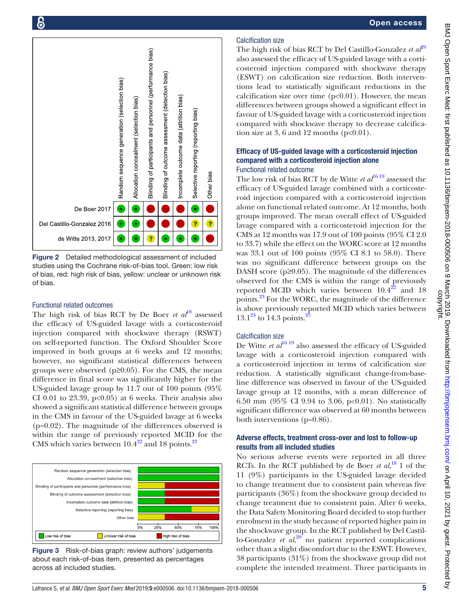

<span id="page-4-0"></span>Figure 2 Detailed methodological assessment of included studies using the Cochrane risk-of-bias tool. Green: low risk of bias, red: high risk of bias, yellow: unclear or unknown risk of bias.

#### Functional related outcomes

The high risk of bias RCT by De Boer *et al*<sup>18</sup> assessed the efficacy of US-guided lavage with a corticosteroid injection compared with shockwave therapy (RSWT) on self-reported function. The Oxford Shoulder Score improved in both groups at 6 weeks and 12 months; however, no significant statistical differences between groups were observed  $(p \ge 0.05)$ . For the CMS, the mean difference in final score was significantly higher for the US-guided lavage group by 11.7 out of 100 points (95% CI 0.01 to 23.39,  $p<0.05$ ) at 6 weeks. Their analysis also showed a significant statistical difference between groups in the CMS in favour of the US-guided lavage at 6 weeks (p=0.02). The magnitude of the differences observed is within the range of previously reported MCID for the CMS which varies between  $10.4^{22}$  and 18 points.<sup>23</sup>



Figure 3 Risk-of-bias graph: review authors' judgements about each risk-of-bias item, presented as percentages across all included studies.

## Calcification size

The high risk of bias RCT by Del Castillo-Gonzalez *et*  $a\ell^{0}$ also assessed the efficacy of US-guided lavage with a corticosteroid injection compared with shockwave therapy (ESWT) on calcification size reduction. Both interventions lead to statistically significant reductions in the calcification size over time  $(p<0.01)$ . However, the mean differences between groups showed a significant effect in favour of US-guided lavage with a corticosteroid injection compared with shockwave therapy to decrease calcification size at 3, 6 and 12 months  $(p<0.01)$ .

## Efficacy of US-guided lavage with a corticosteroid injection compared with a corticosteroid injection alone Functional related outcome

The low risk of bias RCT by de Witte *et al*<sup>16 19</sup> assessed the efficacy of US-guided lavage combined with a corticosteroid injection compared with a corticosteroid injection alone on functional related outcome. At 12 months, both groups improved. The mean overall effect of US-guided lavage compared with a corticosteroid injection for the CMS at 12 months was 17.9 out of 100 points (95% CI 2.0 to 33.7) while the effect on the WORC score at 12 months was 33.1 out of 100 points (95% CI 8.1 to 58.0). There was no significant difference between groups on the DASH score ( $p \ge 0.05$ ). The magnitude of the differences observed for the CMS is within the range of previously reported MCID which varies between  $10.4^{22}$  and 18 points[.23](#page-7-15) For the WORC, the magnitude of the difference is above previously reported MCID which varies between  $13.1^{24}$  to 14.3 points.

## Calcification size

De Witte *et al*<sup>16 19</sup> also assessed the efficacy of US-guided lavage with a corticosteroid injection compared with a corticosteroid injection in terms of calcification size reduction. A statistically significant change-from-baseline difference was observed in favour of the US-guided lavage group at 12 months, with a mean difference of 6.50 mm (95% CI 9.94 to 3.06, p<0.01). No statistically significant difference was observed at 60 months between both interventions (p=0.86).

## Adverse effects, treatment cross-over and lost to follow-up results from all included studies

No serious adverse events were reported in all three RCTs. In the RCT published by de Boer *et al*,<sup>18</sup> 1 of the 11 (9%) participants in the US-guided lavage decided to change treatment due to consistent pain whereas five participants (36%) from the shockwave group decided to change treatment due to consistent pain. After 6 weeks, the Data Safety Monitoring Board decided to stop further enrolment in the study because of reported higher pain in the shockwave group. In the RCT published by Del Castillo-Gonzalez  $et al<sup>20</sup>$  $et al<sup>20</sup>$  $et al<sup>20</sup>$  no patient reported complications other than a slight discomfort due to the ESWT. However, 38 participants (31%) from the shockwave group did not complete the intended treatment. Three participants in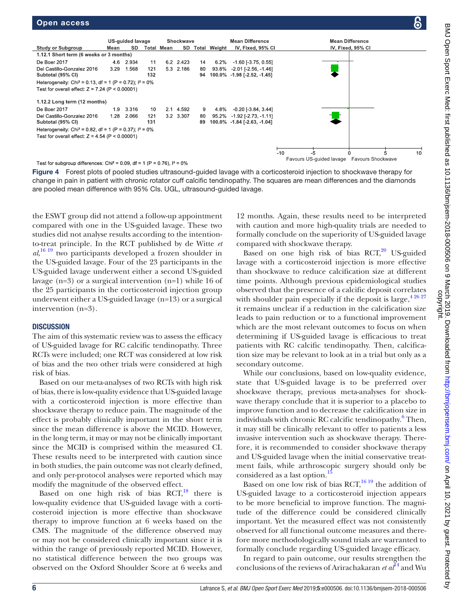

<span id="page-5-0"></span>Test for subgroup differences: Chi<sup>2</sup> = 0.09, df = 1 (P = 0.76),  $I^2 = 0\%$ 

Figure 4 Forest plots of pooled studies ultrasound-guided lavage with a corticosteroid injection to shockwave therapy for change in pain in patient with chronic rotator cuff calcific tendinopathy. The squares are mean differences and the diamonds are pooled mean difference with 95% CIs. UGL, ultrasound-guided lavage.

the ESWT group did not attend a follow-up appointment compared with one in the US-guided lavage. These two studies did not analyse results according to the intentionto-treat principle. In the RCT published by de Witte *et al*, [16 19](#page-7-9) two participants developed a frozen shoulder in the US-guided lavage. Four of the 23 participants in the US-guided lavage underwent either a second US-guided lavage (n=3) or a surgical intervention (n=1) while 16 of the 25 participants in the corticosteroid injection group underwent either a US-guided lavage (n=13) or a surgical intervention (n=3).

## **DISCUSSION**

The aim of this systematic review was to assess the efficacy of US-guided lavage for RC calcific tendinopathy. Three RCTs were included; one RCT was considered at low risk of bias and the two other trials were considered at high risk of bias.

Based on our meta-analyses of two RCTs with high risk of bias, there is low-quality evidence that US-guided lavage with a corticosteroid injection is more effective than shockwave therapy to reduce pain. The magnitude of the effect is probably clinically important in the short term since the mean difference is above the MCID. However, in the long term, it may or may not be clinically important since the MCID is comprised within the measured CI. These results need to be interpreted with caution since in both studies, the pain outcome was not clearly defined, and only per-protocol analyses were reported which may modify the magnitude of the observed effect.

Based on one high risk of bias  $RCT<sub>18</sub>$  $RCT<sub>18</sub>$  $RCT<sub>18</sub>$ , there is low-quality evidence that US-guided lavage with a corticosteroid injection is more effective than shockwave therapy to improve function at 6 weeks based on the CMS. The magnitude of the difference observed may or may not be considered clinically important since it is within the range of previously reported MCID. However, no statistical difference between the two groups was observed on the Oxford Shoulder Score at 6 weeks and

12 months. Again, these results need to be interpreted with caution and more high-quality trials are needed to formally conclude on the superiority of US-guided lavage compared with shockwave therapy.

Based on one high risk of bias RCT,<sup>[20](#page-7-12)</sup> US-guided lavage with a corticosteroid injection is more effective than shockwave to reduce calcification size at different time points. Although previous epidemiological studies observed that the presence of a calcific deposit correlates with shoulder pain especially if the deposit is large,  $4\frac{26\frac{27}{2}}{27}$ it remains unclear if a reduction in the calcification size leads to pain reduction or to a functional improvement which are the most relevant outcomes to focus on when determining if US-guided lavage is efficacious to treat patients with RC calcific tendinopathy. Then, calcification size may be relevant to look at in a trial but only as a secondary outcome.

While our conclusions, based on low-quality evidence, state that US-guided lavage is to be preferred over shockwave therapy, previous meta-analyses for shockwave therapy conclude that it is superior to a placebo to improve function and to decrease the calcification size in individuals with chronic RC calcific tendinopathy.<sup>[6](#page-7-8)</sup> Then, it may still be clinically relevant to offer to patients a less invasive intervention such as shockwave therapy. Therefore, it is recommended to consider shockwave therapy and US-guided lavage when the initial conservative treatment fails, while arthroscopic surgery should only be considered as a last option.<sup>1</sup>

Based on one low risk of bias  $RCT$ ,<sup>[16 19](#page-7-9)</sup> the addition of US-guided lavage to a corticosteroid injection appears to be more beneficial to improve function. The magnitude of the difference could be considered clinically important. Yet the measured effect was not consistently observed for all functional outcome measures and therefore more methodologically sound trials are warranted to formally conclude regarding US-guided lavage efficacy.

In regard to pain outcome, our results strengthen the conclusions of the reviews of Arirachakaran *et al*[14](#page-7-19) and Wu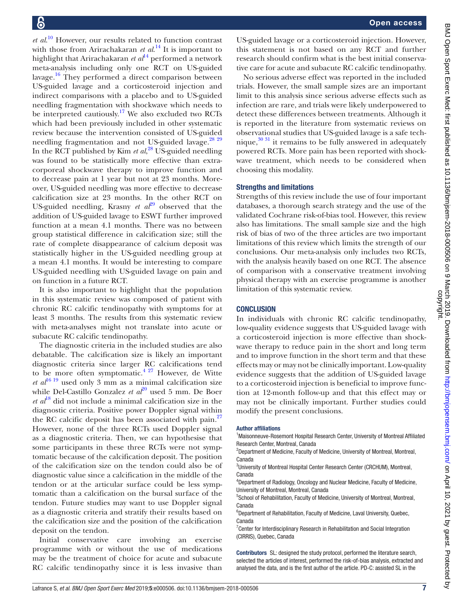*et al*. [10](#page-7-4) However, our results related to function contrast with those from Arirachakaran *et al*. [14](#page-7-19) It is important to highlight that Arirachakaran *et al*<sup>14</sup> performed a network meta-analysis including only one RCT on US-guided lavage. $\frac{16}{16}$  $\frac{16}{16}$  $\frac{16}{16}$  They performed a direct comparison between US-guided lavage and a corticosteroid injection and indirect comparisons with a placebo and to US-guided needling fragmentation with shockwave which needs to be interpreted cautiously.<sup>17</sup> We also excluded two RCTs which had been previously included in other systematic review because the intervention consisted of US-guided needling fragmentation and not US-guided lavage.<sup>[28 29](#page-7-20)</sup> In the RCT published by Kim *et al*, [28](#page-7-20) US-guided needling was found to be statistically more effective than extracorporeal shockwave therapy to improve function and to decrease pain at 1 year but not at 23 months. Moreover, US-guided needling was more effective to decrease calcification size at 23 months. In the other RCT on US-guided needling, Krasny  $et \t a t^{29}$  $et \t a t^{29}$  $et \t a t^{29}$  observed that the addition of US-guided lavage to ESWT further improved function at a mean 4.1 months. There was no between group statistical difference in calcification size; still the rate of complete disappearance of calcium deposit was statistically higher in the US-guided needling group at a mean 4.1 months. It would be interesting to compare US-guided needling with US-guided lavage on pain and on function in a future RCT.

It is also important to highlight that the population in this systematic review was composed of patient with chronic RC calcific tendinopathy with symptoms for at least 3 months. The results from this systematic review with meta-analyses might not translate into acute or subacute RC calcific tendinopathy.

The diagnostic criteria in the included studies are also debatable. The calcification size is likely an important diagnostic criteria since larger RC calcifications tend to be more often symptomatic. $427$  However, de Witte *et al*<sup>16 19</sup> used only 3 mm as a minimal calcification size while Del-Castillo Gonzalez *et al*<sup>20</sup> used 5 mm. De Boer  $et al^{18}$  did not include a minimal calcification size in the diagnostic criteria. Positive power Doppler signal within the RC calcific deposit has been associated with pain. $27$ However, none of the three RCTs used Doppler signal as a diagnostic criteria. Then, we can hypothesise that some participants in these three RCTs were not symptomatic because of the calcification deposit. The position of the calcification size on the tendon could also be of diagnostic value since a calcification in the middle of the tendon or at the articular surface could be less symptomatic than a calcification on the bursal surface of the tendon. Future studies may want to use Doppler signal as a diagnostic criteria and stratify their results based on the calcification size and the position of the calcification deposit on the tendon.

Initial conservative care involving an exercise programme with or without the use of medications may be the treatment of choice for acute and subacute RC calcific tendinopathy since it is less invasive than

US-guided lavage or a corticosteroid injection. However, this statement is not based on any RCT and further research should confirm what is the best initial conservative care for acute and subacute RC calcific tendinopathy.

No serious adverse effect was reported in the included trials. However, the small sample sizes are an important limit to this analysis since serious adverse effects such as infection are rare, and trials were likely underpowered to detect these differences between treatments. Although it is reported in the literature from systematic reviews on observational studies that US-guided lavage is a safe technique,[30 31](#page-7-23) it remains to be fully answered in adequately powered RCTs. More pain has been reported with shockwave treatment, which needs to be considered when choosing this modality.

#### Strengths and limitations

Strengths of this review include the use of four important databases, a thorough search strategy and the use of the validated Cochrane risk-of-bias tool. However, this review also has limitations. The small sample size and the high risk of bias of two of the three articles are two important limitations of this review which limits the strength of our conclusions. Our meta-analysis only includes two RCTs, with the analysis heavily based on one RCT. The absence of comparison with a conservative treatment involving physical therapy with an exercise programme is another limitation of this systematic review.

#### **CONCLUSION**

In individuals with chronic RC calcific tendinopathy, low-quality evidence suggests that US-guided lavage with a corticosteroid injection is more effective than shockwave therapy to reduce pain in the short and long term and to improve function in the short term and that these effects may or may not be clinically important. Low-quality evidence suggests that the addition of US-guided lavage to a corticosteroid injection is beneficial to improve function at 12-month follow-up and that this effect may or may not be clinically important. Further studies could modify the present conclusions.

#### Author affiliations

<sup>1</sup> Maisonneuve-Rosemont Hospital Research Center, University of Montreal Affiliated Research Center, Montreal, Canada

<sup>2</sup>Department of Medicine, Faculty of Medicine, University of Montreal, Montreal, Canada

<sup>3</sup>University of Montreal Hospital Center Research Center (CRCHUM), Montreal, Canada

4 Department of Radiology, Oncology and Nuclear Medicine, Faculty of Medicine, University of Montreal, Montreal, Canada

<sup>5</sup>School of Rehabilitation, Faculty of Medicine, University of Montreal, Montreal, Canada

6 Department of Rehabilitation, Faculty of Medicine, Laval University, Quebec, Canada

<sup>7</sup> Center for Interdisciplinary Research in Rehabilitation and Social Integration (CIRRIS), Quebec, Canada

Contributors SL: designed the study protocol, performed the literature search, selected the articles of interest, performed the risk-of-bias analysis, extracted and analysed the data, and is the first author of the article. PD-C: assisted SL in the